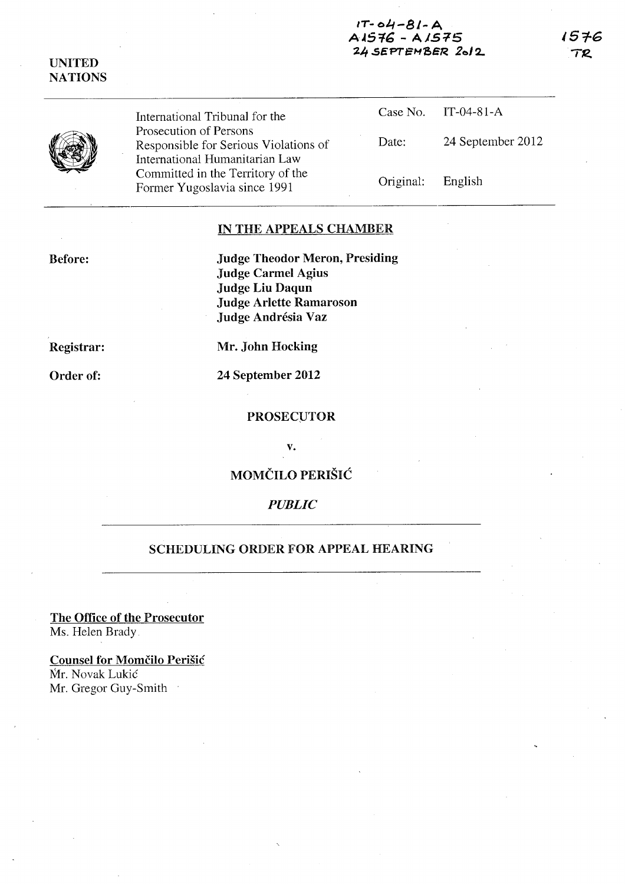### $1T - 04 - 81 - A$ A1576 - A1575 24.5EPTEMSER. *20/2..*

1576 **TR** 



UNITED **NATIONS** 

> International Tribunal for the Prosecution of Persons Responsible for Serious Violations of International Humanitarian Law Committed in the Territory of the Former Yugoslavia since 1991

Case No. IT-04-81-A Date: 24 September 2012 Original: English

# IN THE APPEALS CHAMBER

Before:

Judge Theodor Meron, Presiding Judge Carmel Agius Judge Liu Daqun Judge Arlette Ramaroson Judge Andrésia Vaz

Registrar:

Mr. John Hocking

Order of:

24 September 2012

#### PROSECUTOR

v.

MOMČILO PERIŠIĆ

# *PUBLIC*

# SCHEDULING ORDER FOR APPEAL HEARING

The Office of the Prosecutor Ms. Helen Brady

Counsel for Momčilo Perišić Mr. Novak Lukic Mr. Gregor Guy-Smith